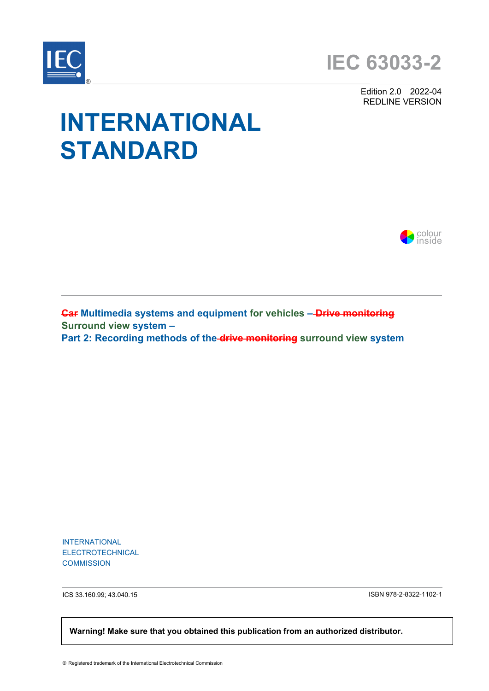

Edition 2.0 2022-04 REDLINE VERSION

# **INTERNATIONAL STANDARD**



**Car Multimedia systems and equipment for vehicles – Drive monitoring Surround view system – Part 2: Recording methods of the drive monitoring surround view system** 

INTERNATIONAL ELECTROTECHNICAL **COMMISSION** 

ICS 33.160.99; 43.040.15 ISBN 978-2-8322-1102-1

 **Warning! Make sure that you obtained this publication from an authorized distributor.**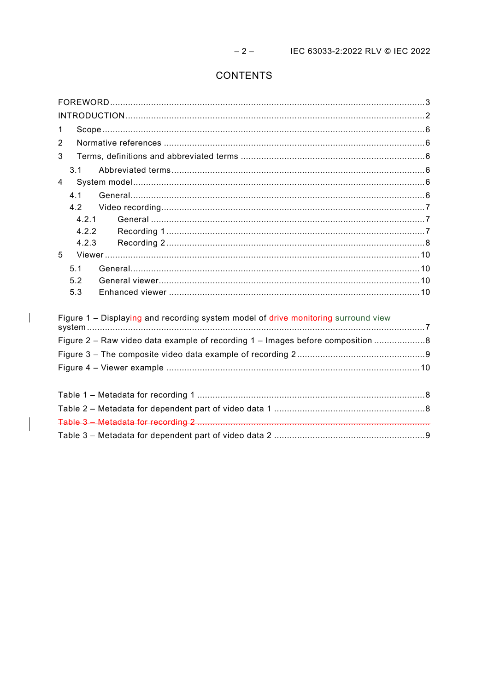# CONTENTS

<span id="page-1-0"></span>

| $\mathbf 1$                                                                        |  |
|------------------------------------------------------------------------------------|--|
| 2                                                                                  |  |
| 3                                                                                  |  |
| 3.1                                                                                |  |
| 4                                                                                  |  |
| 4.1                                                                                |  |
| 4.2                                                                                |  |
| 4.2.1                                                                              |  |
| 4.2.2                                                                              |  |
| 4.2.3                                                                              |  |
| 5                                                                                  |  |
| 5.1                                                                                |  |
| 5.2                                                                                |  |
| 5.3                                                                                |  |
|                                                                                    |  |
| Figure 1 - Displaying and recording system model of drive monitoring surround view |  |
| Figure 2 – Raw video data example of recording 1 – Images before composition 8     |  |
|                                                                                    |  |
|                                                                                    |  |
|                                                                                    |  |
|                                                                                    |  |
|                                                                                    |  |
|                                                                                    |  |
|                                                                                    |  |

 $\overline{\phantom{a}}$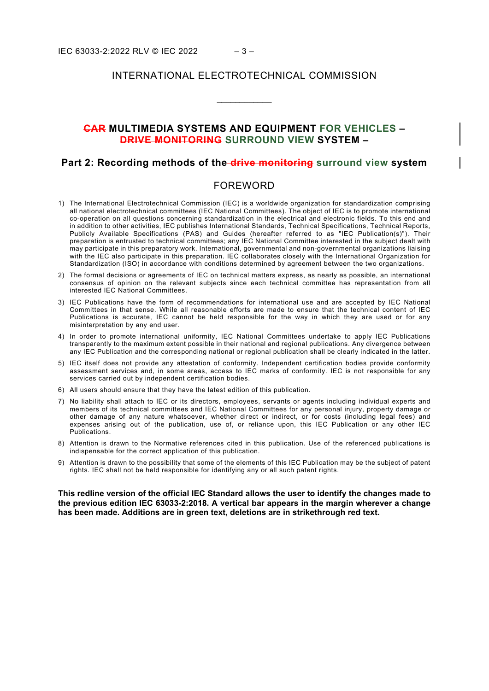### INTERNATIONAL ELECTROTECHNICAL COMMISSION

\_\_\_\_\_\_\_\_\_\_\_\_

## **CAR MULTIMEDIA SYSTEMS AND EQUIPMENT FOR VEHICLES – DRIVE MONITORING SURROUND VIEW SYSTEM –**

#### **Part 2: Recording methods of the drive monitoring surround view system**

#### FOREWORD

- <span id="page-2-0"></span>1) The International Electrotechnical Commission (IEC) is a worldwide organization for standardization comprising all national electrotechnical committees (IEC National Committees). The object of IEC is to promote international co-operation on all questions concerning standardization in the electrical and electronic fields. To this end and in addition to other activities, IEC publishes International Standards, Technical Specifications, Technical Reports, Publicly Available Specifications (PAS) and Guides (hereafter referred to as "IEC Publication(s)"). Their preparation is entrusted to technical committees; any IEC National Committee interested in the subject dealt with may participate in this preparatory work. International, governmental and non-governmental organizations liaising with the IEC also participate in this preparation. IEC collaborates closely with the International Organization for Standardization (ISO) in accordance with conditions determined by agreement between the two organizations.
- 2) The formal decisions or agreements of IEC on technical matters express, as nearly as possible, an international consensus of opinion on the relevant subjects since each technical committee has representation from all interested IEC National Committees.
- 3) IEC Publications have the form of recommendations for international use and are accepted by IEC National Committees in that sense. While all reasonable efforts are made to ensure that the technical content of IEC Publications is accurate, IEC cannot be held responsible for the way in which they are used or for any misinterpretation by any end user.
- 4) In order to promote international uniformity, IEC National Committees undertake to apply IEC Publications transparently to the maximum extent possible in their national and regional publications. Any divergence between any IEC Publication and the corresponding national or regional publication shall be clearly indicated in the latter.
- 5) IEC itself does not provide any attestation of conformity. Independent certification bodies provide conformity assessment services and, in some areas, access to IEC marks of conformity. IEC is not responsible for any services carried out by independent certification bodies.
- 6) All users should ensure that they have the latest edition of this publication.
- 7) No liability shall attach to IEC or its directors, employees, servants or agents including individual experts and members of its technical committees and IEC National Committees for any personal injury, property damage or other damage of any nature whatsoever, whether direct or indirect, or for costs (including legal fees) and expenses arising out of the publication, use of, or reliance upon, this IEC Publication or any other IEC Publications.
- 8) Attention is drawn to the Normative references cited in this publication. Use of the referenced publications is indispensable for the correct application of this publication.
- 9) Attention is drawn to the possibility that some of the elements of this IEC Publication may be the subject of patent rights. IEC shall not be held responsible for identifying any or all such patent rights.

**This redline version of the official IEC Standard allows the user to identify the changes made to the previous edition IEC 63033-2:2018. A vertical bar appears in the margin wherever a change has been made. Additions are in green text, deletions are in strikethrough red text.**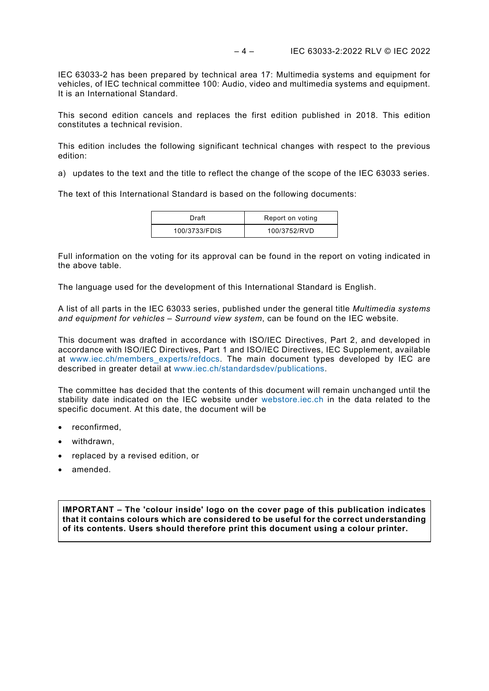IEC 63033-2 has been prepared by technical area 17: Multimedia systems and equipment for vehicles, of IEC technical committee 100: Audio, video and multimedia systems and equipment. It is an International Standard.

This second edition cancels and replaces the first edition published in 2018. This edition constitutes a technical revision.

This edition includes the following significant technical changes with respect to the previous edition:

a) updates to the text and the title to reflect the change of the scope of the IEC 63033 series.

The text of this International Standard is based on the following documents:

| Draft         | Report on voting |
|---------------|------------------|
| 100/3733/FDIS | 100/3752/RVD     |

Full information on the voting for its approval can be found in the report on voting indicated in the above table.

The language used for the development of this International Standard is English.

A list of all parts in the IEC 63033 series, published under the general title *Multimedia systems and equipment for vehicles – Surround view system*, can be found on the IEC website.

This document was drafted in accordance with ISO/IEC Directives, Part 2, and developed in accordance with ISO/IEC Directives, Part 1 and ISO/IEC Directives, IEC Supplement, available at www.iec.ch/members experts/refdocs. The main document types developed by IEC are described in greater detail at [www.iec.ch/standardsdev/publications.](http://www.iec.ch/standardsdev/publications)

The committee has decided that the contents of this document will remain unchanged until the stability date indicated on the IEC website under [webstore.iec.ch](https://webstore.iec.ch/?ref=menu) in the data related to the specific document. At this date, the document will be

- reconfirmed,
- withdrawn,
- replaced by a revised edition, or
- amended.

**IMPORTANT – The 'colour inside' logo on the cover page of this publication indicates that it contains colours which are considered to be useful for the correct understanding of its contents. Users should therefore print this document using a colour printer.**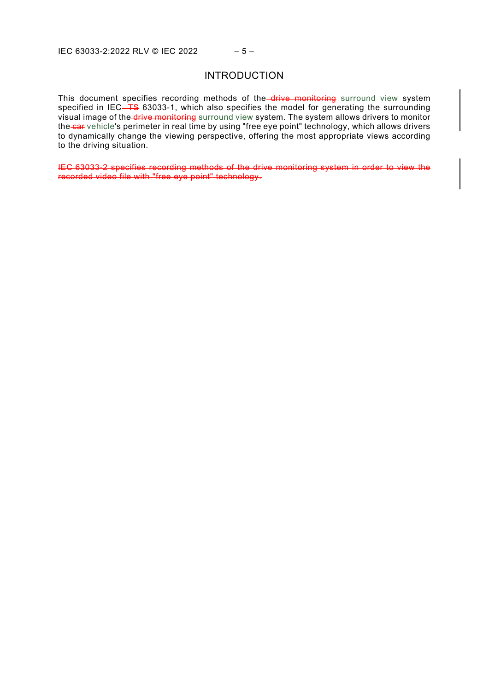#### INTRODUCTION

This document specifies recording methods of the drive monitoring surround view system specified in IEC $\overline{+}$ S 63033-1, which also specifies the model for generating the surrounding visual image of the drive monitoring surround view system. The system allows drivers to monitor the car vehicle's perimeter in real time by using "free eye point" technology, which allows drivers to dynamically change the viewing perspective, offering the most appropriate views according to the driving situation.

IEC 63033-2 specifies recording methods of the drive monitoring system in order to view the recorded video file with "free eye point" technology.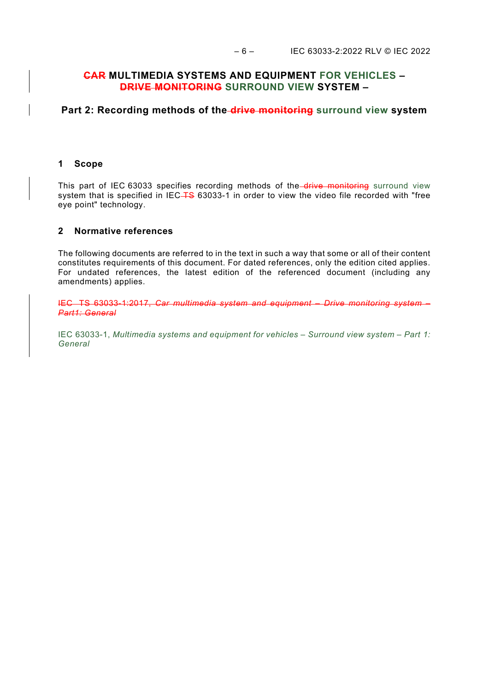## **CAR MULTIMEDIA SYSTEMS AND EQUIPMENT FOR VEHICLES – DRIVE MONITORING SURROUND VIEW SYSTEM –**

## **Part 2: Recording methods of the drive monitoring surround view system**

#### <span id="page-5-0"></span>**1 Scope**

This part of IEC 63033 specifies recording methods of the drive monitoring surround view system that is specified in IEC-TS 63033-1 in order to view the video file recorded with "free eye point" technology.

#### <span id="page-5-1"></span>**2 Normative references**

The following documents are referred to in the text in such a way that some or all of their content constitutes requirements of this document. For dated references, only the edition cited applies. For undated references, the latest edition of the referenced document (including any amendments) applies.

IEC TS 63033-1:2017, *Car multimedia system and equipment – Drive monitoring system – Part1: General*

<span id="page-5-5"></span><span id="page-5-4"></span><span id="page-5-3"></span><span id="page-5-2"></span>IEC 63033-1, *Multimedia systems and equipment for vehicles – Surround view system – Part 1: General*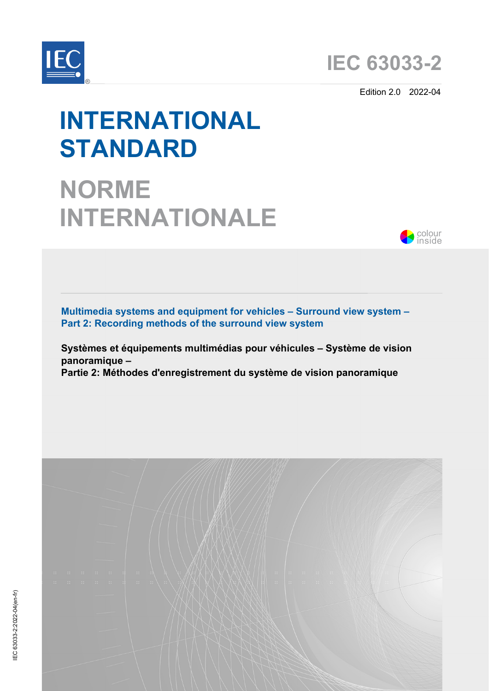



Edition 2.0 2022-04

# **INTERNATIONAL STANDARD**

# **NORME INTERNATIONALE**



**Multimedia systems and equipment for vehicles – Surround view system – Part 2: Recording methods of the surround view system**

**Systèmes et équipements multimédias pour véhicules – Système de vision panoramique –** 

**Partie 2: Méthodes d'enregistrement du système de vision panoramique**

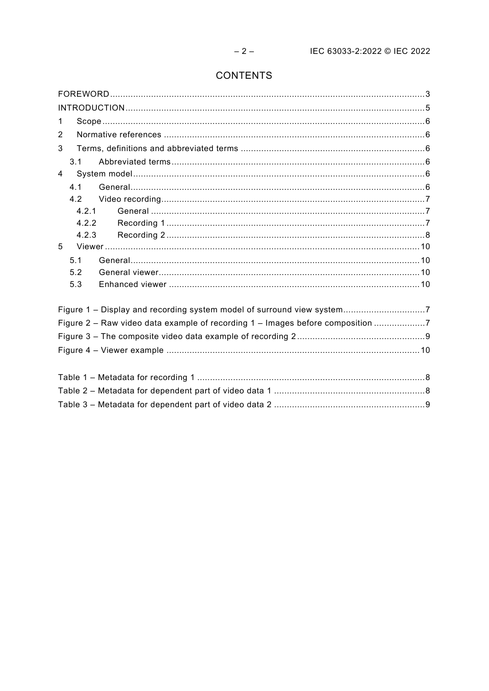# CONTENTS

| 1                                                                              |  |
|--------------------------------------------------------------------------------|--|
| $\overline{2}$                                                                 |  |
| 3                                                                              |  |
| 3.1                                                                            |  |
| $\overline{4}$                                                                 |  |
| 4.1                                                                            |  |
| 4.2                                                                            |  |
| 4.2.1                                                                          |  |
| 4.2.2                                                                          |  |
| 4.2.3                                                                          |  |
| 5                                                                              |  |
| 5.1                                                                            |  |
| 5.2                                                                            |  |
| 5.3                                                                            |  |
| Figure 1 - Display and recording system model of surround view system7         |  |
| Figure 2 - Raw video data example of recording 1 - Images before composition 7 |  |
|                                                                                |  |
|                                                                                |  |
|                                                                                |  |
|                                                                                |  |
|                                                                                |  |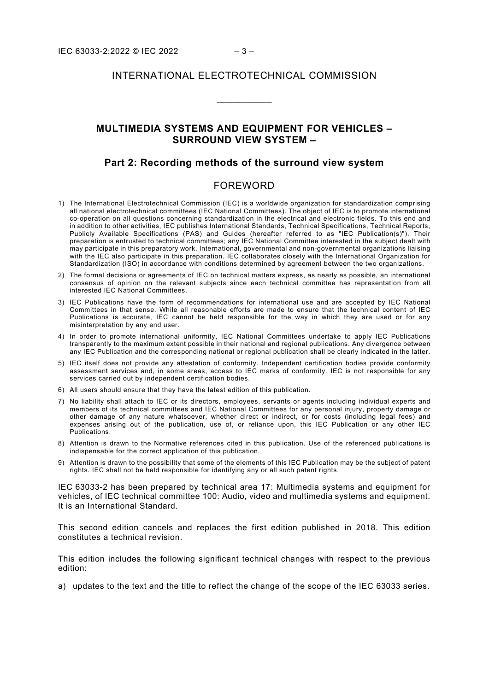### INTERNATIONAL ELECTROTECHNICAL COMMISSION

\_\_\_\_\_\_\_\_\_\_\_\_

## **MULTIMEDIA SYSTEMS AND EQUIPMENT FOR VEHICLES – SURROUND VIEW SYSTEM –**

#### **Part 2: Recording methods of the surround view system**

#### FOREWORD

- <span id="page-8-0"></span>1) The International Electrotechnical Commission (IEC) is a worldwide organization for standardization comprising all national electrotechnical committees (IEC National Committees). The object of IEC is to promote international co-operation on all questions concerning standardization in the electrical and electronic fields. To this end and in addition to other activities, IEC publishes International Standards, Technical Specifications, Technical Reports, Publicly Available Specifications (PAS) and Guides (hereafter referred to as "IEC Publication(s)"). Their preparation is entrusted to technical committees; any IEC National Committee interested in the subject dealt with may participate in this preparatory work. International, governmental and non-governmental organizations liaising with the IEC also participate in this preparation. IEC collaborates closely with the International Organization for Standardization (ISO) in accordance with conditions determined by agreement between the two organizations.
- 2) The formal decisions or agreements of IEC on technical matters express, as nearly as possible, an international consensus of opinion on the relevant subjects since each technical committee has representation from all interested IEC National Committees.
- 3) IEC Publications have the form of recommendations for international use and are accepted by IEC National Committees in that sense. While all reasonable efforts are made to ensure that the technical content of IEC Publications is accurate, IEC cannot be held responsible for the way in which they are used or for any misinterpretation by any end user.
- 4) In order to promote international uniformity, IEC National Committees undertake to apply IEC Publications transparently to the maximum extent possible in their national and regional publications. Any divergence between any IEC Publication and the corresponding national or regional publication shall be clearly indicated in the latter.
- 5) IEC itself does not provide any attestation of conformity. Independent certification bodies provide conformity assessment services and, in some areas, access to IEC marks of conformity. IEC is not responsible for any services carried out by independent certification bodies.
- 6) All users should ensure that they have the latest edition of this publication.
- 7) No liability shall attach to IEC or its directors, employees, servants or agents including individual experts and members of its technical committees and IEC National Committees for any personal injury, property damage or other damage of any nature whatsoever, whether direct or indirect, or for costs (including legal fees) and expenses arising out of the publication, use of, or reliance upon, this IEC Publication or any other IEC Publications.
- 8) Attention is drawn to the Normative references cited in this publication. Use of the referenced publications is indispensable for the correct application of this publication.
- 9) Attention is drawn to the possibility that some of the elements of this IEC Publication may be the subject of patent rights. IEC shall not be held responsible for identifying any or all such patent rights.

IEC 63033-2 has been prepared by technical area 17: Multimedia systems and equipment for vehicles, of IEC technical committee 100: Audio, video and multimedia systems and equipment. It is an International Standard.

This second edition cancels and replaces the first edition published in 2018. This edition constitutes a technical revision.

This edition includes the following significant technical changes with respect to the previous edition:

a) updates to the text and the title to reflect the change of the scope of the IEC 63033 series.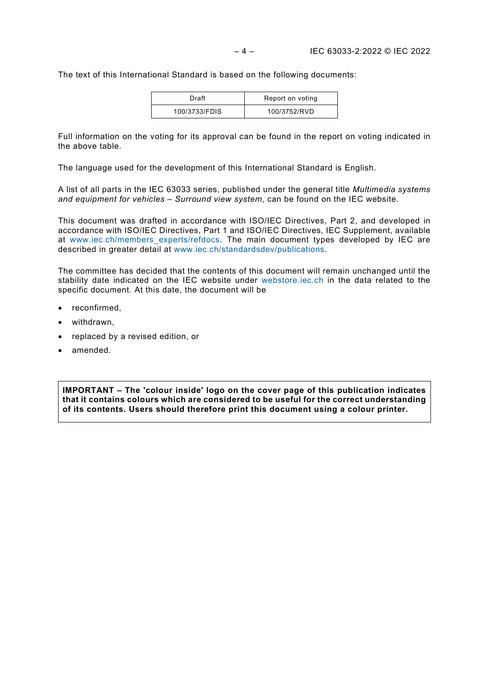The text of this International Standard is based on the following documents:

| Draft         | Report on voting |
|---------------|------------------|
| 100/3733/FDIS | 100/3752/RVD     |

Full information on the voting for its approval can be found in the report on voting indicated in the above table.

The language used for the development of this International Standard is English.

A list of all parts in the IEC 63033 series, published under the general title *Multimedia systems and equipment for vehicles – Surround view system*, can be found on the IEC website.

This document was drafted in accordance with ISO/IEC Directives, Part 2, and developed in accordance with ISO/IEC Directives, Part 1 and ISO/IEC Directives, IEC Supplement, available at [www.iec.ch/members\\_experts/refdocs.](http://www.iec.ch/members_experts/refdocs) The main document types developed by IEC are described in greater detail at [www.iec.ch/standardsdev/publications.](http://www.iec.ch/standardsdev/publications)

The committee has decided that the contents of this document will remain unchanged until the stability date indicated on the IEC website under [webstore.iec.ch](https://webstore.iec.ch/?ref=menu) in the data related to the specific document. At this date, the document will be

- reconfirmed,
- withdrawn,
- replaced by a revised edition, or
- amended.

**IMPORTANT – The 'colour inside' logo on the cover page of this publication indicates that it contains colours which are considered to be useful for the correct understanding of its contents. Users should therefore print this document using a colour printer.**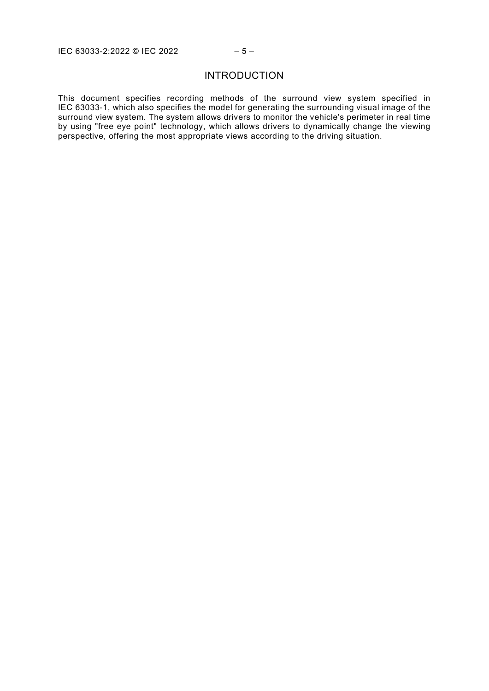## INTRODUCTION

<span id="page-10-0"></span>This document specifies recording methods of the surround view system specified in IEC 63033-1, which also specifies the model for generating the surrounding visual image of the surround view system. The system allows drivers to monitor the vehicle's perimeter in real time by using "free eye point" technology, which allows drivers to dynamically change the viewing perspective, offering the most appropriate views according to the driving situation.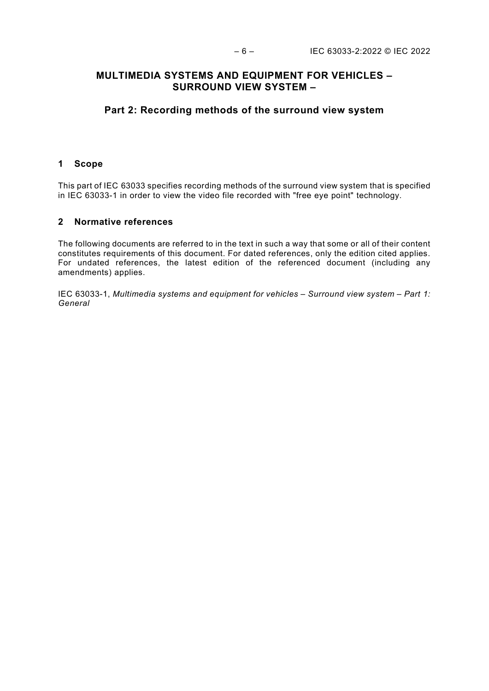## **MULTIMEDIA SYSTEMS AND EQUIPMENT FOR VEHICLES – SURROUND VIEW SYSTEM –**

## **Part 2: Recording methods of the surround view system**

#### <span id="page-11-0"></span>**1 Scope**

This part of IEC 63033 specifies recording methods of the surround view system that is specified in IEC 63033-1 in order to view the video file recorded with "free eye point" technology.

#### <span id="page-11-1"></span>**2 Normative references**

The following documents are referred to in the text in such a way that some or all of their content constitutes requirements of this document. For dated references, only the edition cited applies. For undated references, the latest edition of the referenced document (including any amendments) applies.

<span id="page-11-5"></span><span id="page-11-4"></span><span id="page-11-3"></span><span id="page-11-2"></span>IEC 63033-1, *Multimedia systems and equipment for vehicles – Surround view system – Part 1: General*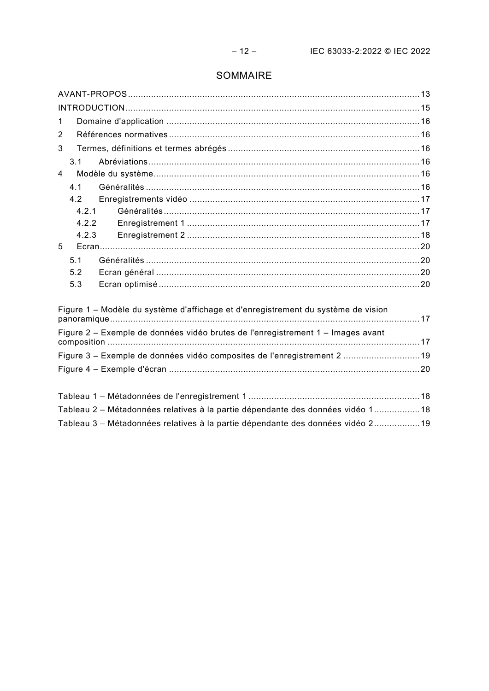# SOMMAIRE

| $\mathbf 1$                                                                       |  |
|-----------------------------------------------------------------------------------|--|
| 2                                                                                 |  |
| 3                                                                                 |  |
| 3.1                                                                               |  |
| 4                                                                                 |  |
| 4.1                                                                               |  |
| 4.2                                                                               |  |
| 4.2.1                                                                             |  |
| 4.2.2                                                                             |  |
| 4.2.3                                                                             |  |
| 5                                                                                 |  |
| 5.1                                                                               |  |
| 5.2                                                                               |  |
| 5.3                                                                               |  |
| Figure 1 – Modèle du système d'affichage et d'enregistrement du système de vision |  |
|                                                                                   |  |
| Figure 2 - Exemple de données vidéo brutes de l'enregistrement 1 - Images avant   |  |
|                                                                                   |  |
| Figure 3 - Exemple de données vidéo composites de l'enregistrement 2  19          |  |
|                                                                                   |  |
|                                                                                   |  |
| Tableau 2 - Métadonnées relatives à la partie dépendante des données vidéo 1 18   |  |
| Tableau 3 – Métadonnées relatives à la partie dépendante des données vidéo 2 19   |  |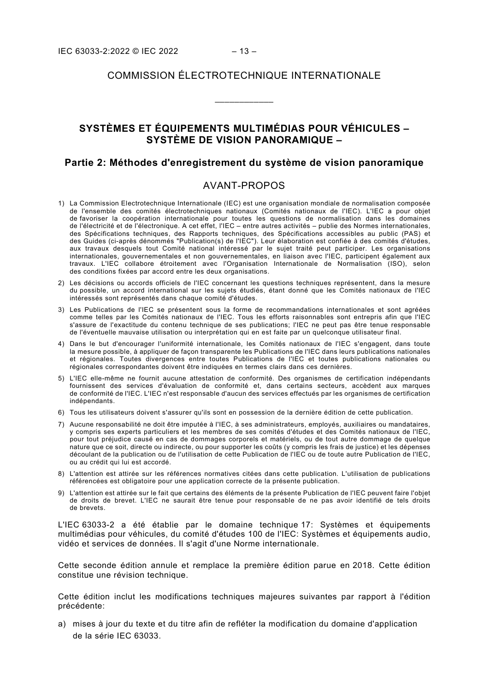#### COMMISSION ÉLECTROTECHNIQUE INTERNATIONALE

\_\_\_\_\_\_\_\_\_\_\_\_

## **SYSTÈMES ET ÉQUIPEMENTS MULTIMÉDIAS POUR VÉHICULES – SYSTÈME DE VISION PANORAMIQUE –**

#### **Partie 2: Méthodes d'enregistrement du système de vision panoramique**

### AVANT-PROPOS

- <span id="page-13-0"></span>1) La Commission Electrotechnique Internationale (IEC) est une organisation mondiale de normalisation composée de l'ensemble des comités électrotechniques nationaux (Comités nationaux de l'IEC). L'IEC a pour objet de favoriser la coopération internationale pour toutes les questions de normalisation dans les domaines de l'électricité et de l'électronique. A cet effet, l'IEC – entre autres activités – publie des Normes internationales, des Spécifications techniques, des Rapports techniques, des Spécifications accessibles au public (PAS) et des Guides (ci-après dénommés "Publication(s) de l'IEC"). Leur élaboration est confiée à des comités d'études, aux travaux desquels tout Comité national intéressé par le sujet traité peut participer. Les organisations internationales, gouvernementales et non gouvernementales, en liaison avec l'IEC, participent également aux travaux. L'IEC collabore étroitement avec l'Organisation Internationale de Normalisation (ISO), selon des conditions fixées par accord entre les deux organisations.
- 2) Les décisions ou accords officiels de l'IEC concernant les questions techniques représentent, dans la mesure du possible, un accord international sur les sujets étudiés, étant donné que les Comités nationaux de l'IEC intéressés sont représentés dans chaque comité d'études.
- 3) Les Publications de l'IEC se présentent sous la forme de recommandations internationales et sont agréées comme telles par les Comités nationaux de l'IEC. Tous les efforts raisonnables sont entrepris afin que l'IEC s'assure de l'exactitude du contenu technique de ses publications; l'IEC ne peut pas être tenue responsable de l'éventuelle mauvaise utilisation ou interprétation qui en est faite par un quelconque utilisateur final.
- 4) Dans le but d'encourager l'uniformité internationale, les Comités nationaux de l'IEC s'engagent, dans toute la mesure possible, à appliquer de façon transparente les Publications de l'IEC dans leurs publications nationales et régionales. Toutes divergences entre toutes Publications de l'IEC et toutes publications nationales ou régionales correspondantes doivent être indiquées en termes clairs dans ces dernières.
- 5) L'IEC elle-même ne fournit aucune attestation de conformité. Des organismes de certification indépendants fournissent des services d'évaluation de conformité et, dans certains secteurs, accèdent aux marques de conformité de l'IEC. L'IEC n'est responsable d'aucun des services effectués par les organismes de certification indépendants.
- 6) Tous les utilisateurs doivent s'assurer qu'ils sont en possession de la dernière édition de cette publication.
- 7) Aucune responsabilité ne doit être imputée à l'IEC, à ses administrateurs, employés, auxiliaires ou mandataires, y compris ses experts particuliers et les membres de ses comités d'études et des Comités nationaux de l'IEC, pour tout préjudice causé en cas de dommages corporels et matériels, ou de tout autre dommage de quelque nature que ce soit, directe ou indirecte, ou pour supporter les coûts (y compris les frais de justice) et les dépenses découlant de la publication ou de l'utilisation de cette Publication de l'IEC ou de toute autre Publication de l'IEC, ou au crédit qui lui est accordé.
- 8) L'attention est attirée sur les références normatives citées dans cette publication. L'utilisation de publications référencées est obligatoire pour une application correcte de la présente publication.
- 9) L'attention est attirée sur le fait que certains des éléments de la présente Publication de l'IEC peuvent faire l'objet de droits de brevet. L'IEC ne saurait être tenue pour responsable de ne pas avoir identifié de tels droits de brevets.

L'IEC 63033-2 a été établie par le domaine technique 17: Systèmes et équipements multimédias pour véhicules, du comité d'études 100 de l'IEC: Systèmes et équipements audio, vidéo et services de données. Il s'agit d'une Norme internationale.

Cette seconde édition annule et remplace la première édition parue en 2018. Cette édition constitue une révision technique.

Cette édition inclut les modifications techniques majeures suivantes par rapport à l'édition précédente:

a) mises à jour du texte et du titre afin de refléter la modification du domaine d'application de la série IEC 63033.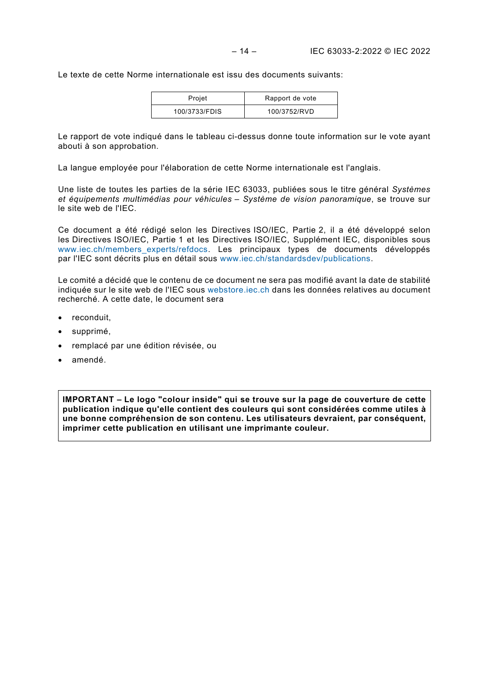Le texte de cette Norme internationale est issu des documents suivants:

| Projet        | Rapport de vote |
|---------------|-----------------|
| 100/3733/FDIS | 100/3752/RVD    |

Le rapport de vote indiqué dans le tableau ci-dessus donne toute information sur le vote ayant abouti à son approbation.

La langue employée pour l'élaboration de cette Norme internationale est l'anglais.

Une liste de toutes les parties de la série IEC 63033, publiées sous le titre général *Systèmes et équipements multimédias pour véhicules – Système de vision panoramique*, se trouve sur le site web de l'IEC.

Ce document a été rédigé selon les Directives ISO/IEC, Partie 2, il a été développé selon les Directives ISO/IEC, Partie 1 et les Directives ISO/IEC, Supplément IEC, disponibles sous [www.iec.ch/members\\_experts/refdocs.](http://www.iec.ch/members_experts/refdocs) Les principaux types de documents développés par l'IEC sont décrits plus en détail sous [www.iec.ch/standardsdev/publications.](http://www.iec.ch/standardsdev/publications)

Le comité a décidé que le contenu de ce document ne sera pas modifié avant la date de stabilité indiquée sur le site web de l'IEC sous [webstore.iec.ch](https://webstore.iec.ch/?ref=menu) dans les données relatives au document recherché. A cette date, le document sera

- reconduit,
- supprimé.
- remplacé par une édition révisée, ou
- amendé.

**IMPORTANT – Le logo "colour inside" qui se trouve sur la page de couverture de cette publication indique qu'elle contient des couleurs qui sont considérées comme utiles à une bonne compréhension de son contenu. Les utilisateurs devraient, par conséquent, imprimer cette publication en utilisant une imprimante couleur.**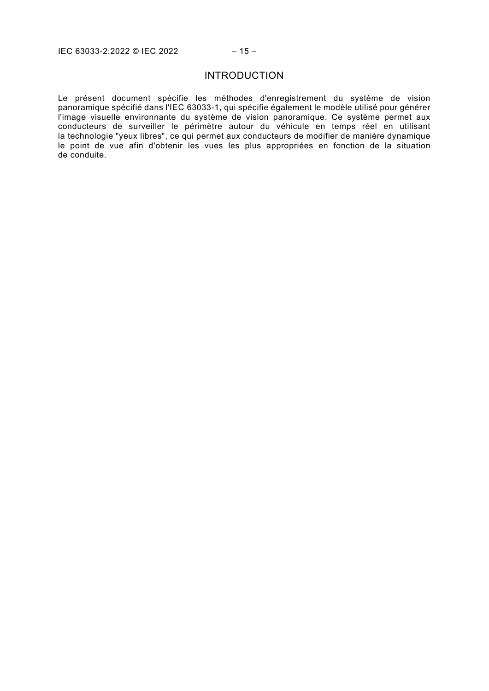#### INTRODUCTION

<span id="page-15-0"></span>Le présent document spécifie les méthodes d'enregistrement du système de vision panoramique spécifié dans l'IEC 63033-1, qui spécifie également le modèle utilisé pour générer l'image visuelle environnante du système de vision panoramique. Ce système permet aux conducteurs de surveiller le périmètre autour du véhicule en temps réel en utilisant la technologie "yeux libres", ce qui permet aux conducteurs de modifier de manière dynamique le point de vue afin d'obtenir les vues les plus appropriées en fonction de la situation de conduite.